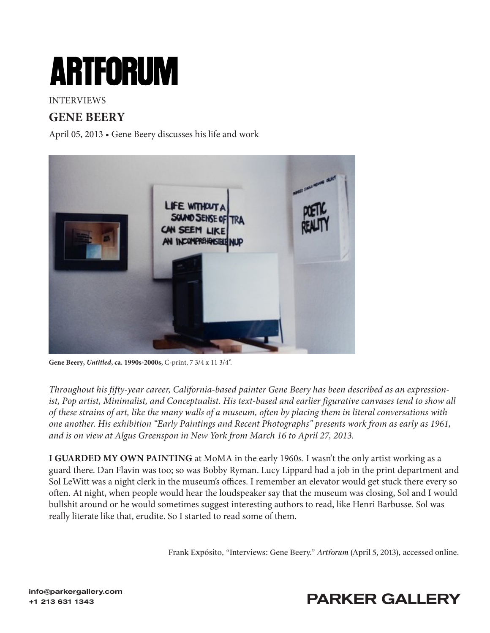# **ARTFORUM**

#### INTERVIEWS

### **GENE BEERY**

April 05, 2013 • Gene Beery discusses his life and work



**Gene Beery,** *Untitled***, ca. 1990s-2000s,** C-print, 7 3/4 x 11 3/4".

*Throughout his fifty-year career, California-based painter Gene Beery has been described as an expressionist, Pop artist, Minimalist, and Conceptualist. His text-based and earlier figurative canvases tend to show all of these strains of art, like the many walls of a museum, often by placing them in literal conversations with one another. His exhibition "Early Paintings and Recent Photographs" presents work from as early as 1961, and is on view at Algus Greenspon in New York from March 16 to April 27, 2013.*

**I GUARDED MY OWN PAINTING** at MoMA in the early 1960s. I wasn't the only artist working as a guard there. Dan Flavin was too; so was Bobby Ryman. Lucy Lippard had a job in the print department and Sol LeWitt was a night clerk in the museum's offices. I remember an elevator would get stuck there every so often. At night, when people would hear the loudspeaker say that the museum was closing, Sol and I would bullshit around or he would sometimes suggest interesting authors to read, like Henri Barbusse. Sol was really literate like that, erudite. So I started to read some of them.

[Frank Expósito, "Interviews: Gene Beery."](https://www.artforum.com/interviews/gene-beery-discusses-his-life-and-work-40092) *Artforum* (April 5, 2013), accessed online.

# +1 213 631 1343<br>+1 213 631 1343